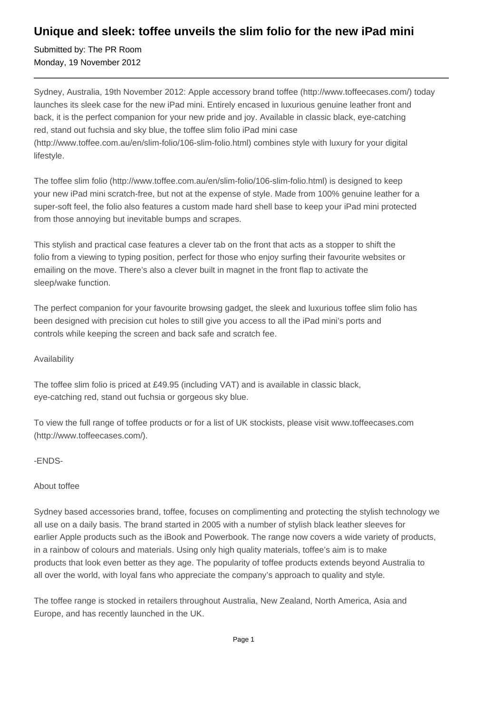## **Unique and sleek: toffee unveils the slim folio for the new iPad mini**

Submitted by: The PR Room Monday, 19 November 2012

Sydney, Australia, 19th November 2012: Apple accessory brand toffee (http://www.toffeecases.com/) today launches its sleek case for the new iPad mini. Entirely encased in luxurious genuine leather front and back, it is the perfect companion for your new pride and joy. Available in classic black, eye-catching red, stand out fuchsia and sky blue, the toffee slim folio iPad mini case (http://www.toffee.com.au/en/slim-folio/106-slim-folio.html) combines style with luxury for your digital lifestyle.

The toffee slim folio (http://www.toffee.com.au/en/slim-folio/106-slim-folio.html) is designed to keep your new iPad mini scratch-free, but not at the expense of style. Made from 100% genuine leather for a super-soft feel, the folio also features a custom made hard shell base to keep your iPad mini protected from those annoying but inevitable bumps and scrapes.

This stylish and practical case features a clever tab on the front that acts as a stopper to shift the folio from a viewing to typing position, perfect for those who enjoy surfing their favourite websites or emailing on the move. There's also a clever built in magnet in the front flap to activate the sleep/wake function.

The perfect companion for your favourite browsing gadget, the sleek and luxurious toffee slim folio has been designed with precision cut holes to still give you access to all the iPad mini's ports and controls while keeping the screen and back safe and scratch fee.

### Availability

The toffee slim folio is priced at £49.95 (including VAT) and is available in classic black, eye-catching red, stand out fuchsia or gorgeous sky blue.

To view the full range of toffee products or for a list of UK stockists, please visit www.toffeecases.com (http://www.toffeecases.com/).

### -ENDS-

### About toffee

Sydney based accessories brand, toffee, focuses on complimenting and protecting the stylish technology we all use on a daily basis. The brand started in 2005 with a number of stylish black leather sleeves for earlier Apple products such as the iBook and Powerbook. The range now covers a wide variety of products, in a rainbow of colours and materials. Using only high quality materials, toffee's aim is to make products that look even better as they age. The popularity of toffee products extends beyond Australia to all over the world, with loyal fans who appreciate the company's approach to quality and style.

The toffee range is stocked in retailers throughout Australia, New Zealand, North America, Asia and Europe, and has recently launched in the UK.